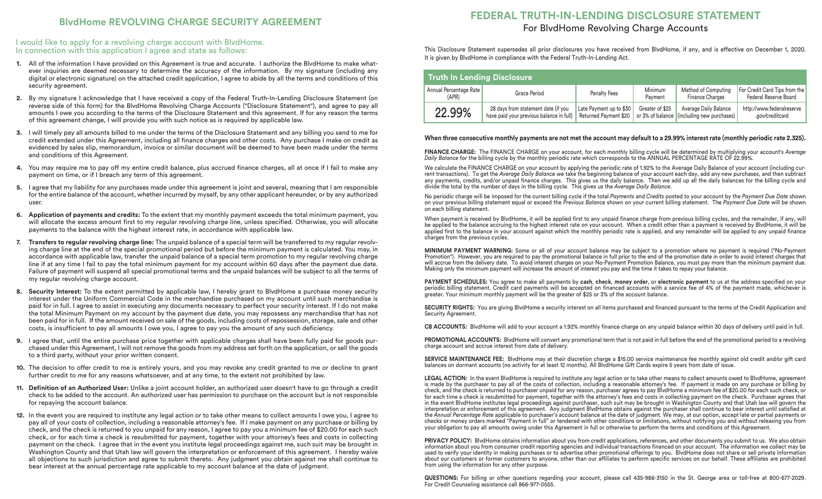### I would like to apply for a revolving charge account with BlvdHome. In connection with this application I agree and state as follows:

- **1.** All of the information I have provided on this Agreement is true and accurate. I authorize the BlvdHome to make whatever inquiries are deemed necessary to determine the accuracy of the information. By my signature (including any digital or electronic signature) on the attached credit application, I agree to abide by all the terms and conditions of this security agreement.
- **2.** By my signature I acknowledge that I have received a copy of the Federal Truth-In-Lending Disclosure Statement (on reverse side of this form) for the BlvdHome Revolving Charge Accounts ("Disclosure Statement"), and agree to pay all amounts I owe you according to the terms of the Disclosure Statement and this agreement. If for any reason the terms of this agreement change, I will provide you with such notice as is required by applicable law.
- **3.** I will timely pay all amounts billed to me under the terms of the Disclosure Statement and any billing you send to me for credit extended under this Agreement, including all finance charges and other costs. Any purchase I make on credit as evidenced by sales slip, memorandum, invoice or similar document will be deemed to have been made under the terms and conditions of this Agreement.
- **4.** You may require me to pay off my entire credit balance, plus accrued finance charges, all at once if I fail to make any payment on time, or if I breach any term of this agreement.
- **5.** I agree that my liability for any purchases made under this agreement is joint and several, meaning that I am responsible for the entire balance of the account, whether incurred by myself, by any other applicant hereunder, or by any authorized user.
- **6. Application of payments and credits:** To the extent that my monthly payment exceeds the total minimum payment, you will allocate the excess amount first to my regular revolving charge line, unless specified. Otherwise, you will allocate payments to the balance with the highest interest rate, in accordance with applicable law.
- **7. Transfers to regular revolving charge line:** The unpaid balance of a special term will be transferred to my regular revolving charge line at the end of the special promotional period but before the minimum payment is calculated. You may, in accordance with applicable law, transfer the unpaid balance of a special term promotion to my regular revolving charge line if at any time I fail to pay the total minimum payment for my account within 60 days after the payment due date. Failure of payment will suspend all special promotional terms and the unpaid balances will be subject to all the terms of my regular revolving charge account.
- **8. Security Interest:** To the extent permitted by applicable law, I hereby grant to BlvdHome a purchase money security interest under the Uniform Commercial Code in the merchandise purchased on my account until such merchandise is paid for in full. I agree to assist in executing any documents necessary to perfect your security interest. If I do not make the total Minimum Payment on my account by the payment due date, you may repossess any merchandise that has not been paid for in full. If the amount received on sale of the goods, including costs of repossession, storage, sale and other costs, is insufficient to pay all amounts I owe you, I agree to pay you the amount of any such deficiency.
- **9.** I agree that, until the entire purchase price together with applicable charges shall have been fully paid for goods purchased under this Agreement, I will not remove the goods from my address set forth on the application, or sell the goods to a third party, without your prior written consent.
- **10.** The decision to offer credit to me is entirely yours, and you may revoke any credit granted to me or decline to grant further credit to me for any reasons whatsoever, and at any time, to the extent not prohibited by law.
- **11. Definition of an Authorized User:** Unlike a joint account holder, an authorized user doesn't have to go through a credit check to be added to the account. An authorized user has permission to purchase on the account but is not responsible for repaying the account balance.
- **12.** In the event you are required to institute any legal action or to take other means to collect amounts I owe you, I agree to pay all of your costs of collection, including a reasonable attorney's fee. If I make payment on any purchase or billing by check, and the check is returned to you unpaid for any reason, I agree to pay you a minimum fee of \$20.00 for each such check, or for each time a check is resubmitted for payment, together with your attorney's fees and costs in collecting payment on the check. I agree that in the event you institute legal proceedings against me, such suit may be brought in Washington County and that Utah law will govern the interpretation or enforcement of this agreement. I hereby waive all objections to such jurisdiction and agree to submit thereto. Any judgment you obtain against me shall continue to bear interest at the annual percentage rate applicable to my account balance at the date of judgment.

# **BlvdHome REVOLVING CHARGE SECURITY AGREEMENT FEDERAL TRUTH-IN-LENDING DISCLOSURE STATEMENT**  For BlvdHome Revolving Charge Accounts

This Disclosure Statement supersedes all prior disclosures you have received from BlvdHome, if any, and is effective on December 1, 2020. It is given by BlvdHome in compliance with the Federal Truth-In-Lending Act.

| Truth In Lending Disclosure     |                                                                                 |                                                  |                    |                                                                     |                                                        |  |  |  |
|---------------------------------|---------------------------------------------------------------------------------|--------------------------------------------------|--------------------|---------------------------------------------------------------------|--------------------------------------------------------|--|--|--|
| Annual Percentage Rate<br>(APR) | Grace Period                                                                    | Penalty Fees                                     | Minimum<br>Payment | Method of Computing<br><b>Finance Charges</b>                       | For Credit Card Tips from the<br>Federal Reserve Board |  |  |  |
| 22.99%                          | 28 days from statement date (if you<br>have paid your previous balance in full) | Late Payment up to \$30<br>Returned Payment \$20 | Greater of \$25    | Average Daily Balance<br>or 3% of balance (including new purchases) | http://www.federalreserve<br>.gov/creditcard           |  |  |  |

### **When three consecutive monthly payments are not met the account may default to a 29.99% interest rate (monthly periodic rate 2.325).**

**FINANCE CHARGE:** The FINANCE CHARGE on your account, for each monthly billing cycle will be determined by multiplying your account's *Average Daily Balance* for the billing cycle by the monthly periodic rate which corresponds to the ANNUAL PERCENTAGE RATE OF 22.99%.

We calculate the FINANCE CHARGE on your account by applying the periodic rate of 1.92% to the Average Daily Balance of your account (including current transactions). To get the *Average Daily Balance* we take the beginning balance of your account each day, add any new purchases, and then subtract any payments, credits, and/or unpaid finance charges. This gives us the daily balance. Then we add up all the daily balances for the billing cycle and divide the total by the number of days in the billing cycle. This gives us the *Average Daily Balance*.

No periodic charge will be imposed for the current billing cycle if the total *Payments* and *Credits* posted to your account by the *Payment Due Date* shown on your previous billing statement equal or exceed the *Previous Balance* shown on your current billing statement. The *Payment Due Date* will be shown on each billing statement.

When payment is received by BlvdHome, it will be applied first to any unpaid finance charge from previous billing cycles, and the remainder, if any, will be applied to the balance accruing to the highest interest rate on your account. When a credit other than a payment is received by BlvdHome, it will be applied first to the balance in your account against which the monthly periodic rate is applied, and any remainder will be applied to any unpaid finance charges from the previous cycles.

**MINIMUM PAYMENT WARNING:** Some or all of your account balance may be subject to a promotion where no payment is required ("No-Payment Promotion"). However, you are required to pay the promotional balance in full prior to the end of the promotion date in order to avoid interest charges that will accrue from the delivery date. To avoid interest charges on your No-Payment Promotion Balance, you must pay more than the minimum payment due. Making only the minimum payment will increase the amount of interest you pay and the time it takes to repay your balance.

**PAYMENT SCHEDULES:** You agree to make all payments by **cash**, **check**, **money order**, or **electronic payment** to us at the address specified on your periodic billing statement. Credit card payments will be accepted on financed accounts with a service fee of 4% of the payment made, whichever is greater. Your minimum monthly payment will be the greater of \$25 or 3% of the account balance.

**SECURITY RIGHTS:** You are giving BlvdHome a security interest on all items purchased and financed pursuant to the terms of the Credit Application and Security Agreement.

**CB ACCOUNTS:** BlvdHome will add to your account a 1.92% monthly finance charge on any unpaid balance within 30 days of delivery until paid in full.

**PROMOTIONAL ACCOUNTS:** BlvdHome will convert any promotional term that is not paid in full before the end of the promotional period to a revolving charge account and accrue interest from date of delivery.

**SERVICE MAINTENANCE FEE:** BlvdHome may at their discretion charge a \$15.00 service maintenance fee monthly against old credit and/or gift card balances on dormant accounts (no activity for at least 12 months). All BlvdHome Gift Cards expire 5 years from date of issue.

**LEGAL ACTION:** In the event BlvdHome is required to institute any legal action or to take other means to collect amounts owed to BlvdHome, agreement is made by the purchaser to pay all of the costs of collection, including a reasonable attorney's fee. If payment is made on any purchase or billing by check, and the check is returned to purchaser unpaid for any reason, purchaser agrees to pay BlvdHome a minimum fee of \$20.00 for each such check, or for each time a check is resubmitted for payment, together with the attorney's fees and costs in collecting payment on the check. Purchaser agrees that in the event BlvdHome institutes legal proceedings against purchaser, such suit may be brought in Washington County and that Utah law will govern the interpretation or enforcement of this agreement. Any judgment BlvdHome obtains against the purchaser shall continue to bear interest until satisfied at the *Annual Percentage Rate* applicable to purchaser's account balance at the date of judgment. We may, at our option, accept late or partial payments or checks or money orders marked "Payment in full" or tendered with other conditions or limitations, without notifying you and without releasing you from your obligation to pay all amounts owing under this Agreement in full or otherwise to perform the terms and conditions of this Agreement.

**PRIVACY POLICY:** BlvdHome obtains information about you from credit applications, references, and other documents you submit to us. We also obtain information about you from consumer credit reporting agencies and individual transactions financed on your account. The information we collect may be used to verify your identity in making purchases or to advertise other promotional offerings to you. BlvdHome does not share or sell private information about our customers or former customers to anyone, other than our affiliates to perform specific services on our behalf. These affiliates are prohibited from using the information for any other purpose.

**QUESTIONS:** For billing or other questions regarding your account, please call 435-986-3150 in the St. George area or toll-free at 800-677-2029. For Credit Counseling assistance call 866-977-0555.